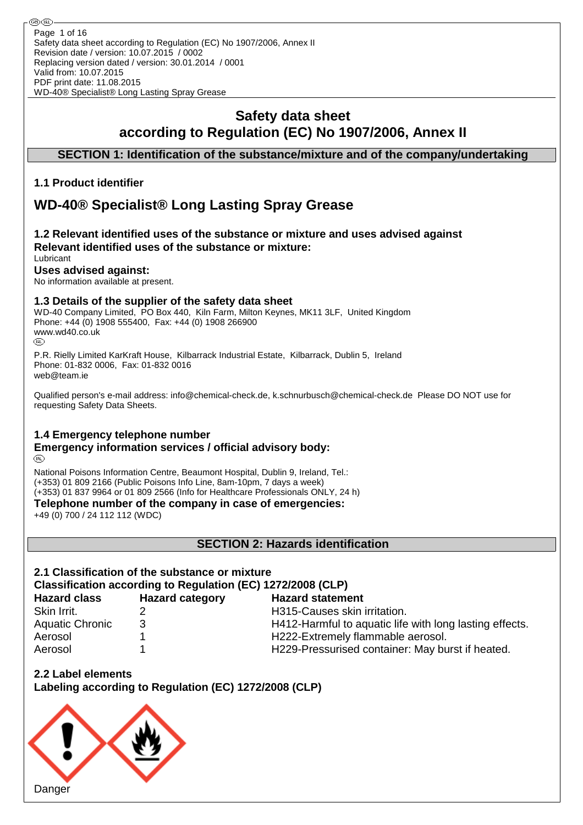# **Safety data sheet according to Regulation (EC) No 1907/2006, Annex II**

# **SECTION 1: Identification of the substance/mixture and of the company/undertaking**

# **1.1 Product identifier**

# **WD-40® Specialist® Long Lasting Spray Grease**

#### **1.2 Relevant identified uses of the substance or mixture and uses advised against Relevant identified uses of the substance or mixture:** Lubricant

# **Uses advised against:**

No information available at present.

# **1.3 Details of the supplier of the safety data sheet**

WD-40 Company Limited, PO Box 440, Kiln Farm, Milton Keynes, MK11 3LF, United Kingdom Phone: +44 (0) 1908 555400, Fax: +44 (0) 1908 266900 WWW.wd40.co.uk

P.R. Rielly Limited KarKraft House, Kilbarrack Industrial Estate, Kilbarrack, Dublin 5, Ireland Phone: 01-832 0006, Fax: 01-832 0016 web@team.ie

Qualified person's e-mail address: info@chemical-check.de, k.schnurbusch@chemical-check.de Please DO NOT use for requesting Safety Data Sheets.

### **1.4 Emergency telephone number**

#### **Emergency information services / official advisory body:** (R)

National Poisons Information Centre, Beaumont Hospital, Dublin 9, Ireland, Tel.: (+353) 01 809 2166 (Public Poisons Info Line, 8am-10pm, 7 days a week) (+353) 01 837 9964 or 01 809 2566 (Info for Healthcare Professionals ONLY, 24 h)

**Telephone number of the company in case of emergencies:**

+49 (0) 700 / 24 112 112 (WDC)

**SECTION 2: Hazards identification**

# **2.1 Classification of the substance or mixture Classification according to Regulation (EC) 1272/2008 (CLP)**

| <b>Hazard class</b>    | <b>Hazard category</b> | <b>Hazard statement</b>                                 |
|------------------------|------------------------|---------------------------------------------------------|
| Skin Irrit.            |                        | H315-Causes skin irritation.                            |
| <b>Aquatic Chronic</b> | 3                      | H412-Harmful to aquatic life with long lasting effects. |
| Aerosol                |                        | H222-Extremely flammable aerosol.                       |
| Aerosol                |                        | H229-Pressurised container: May burst if heated.        |
|                        |                        |                                                         |

**2.2 Label elements Labeling according to Regulation (EC) 1272/2008 (CLP)**

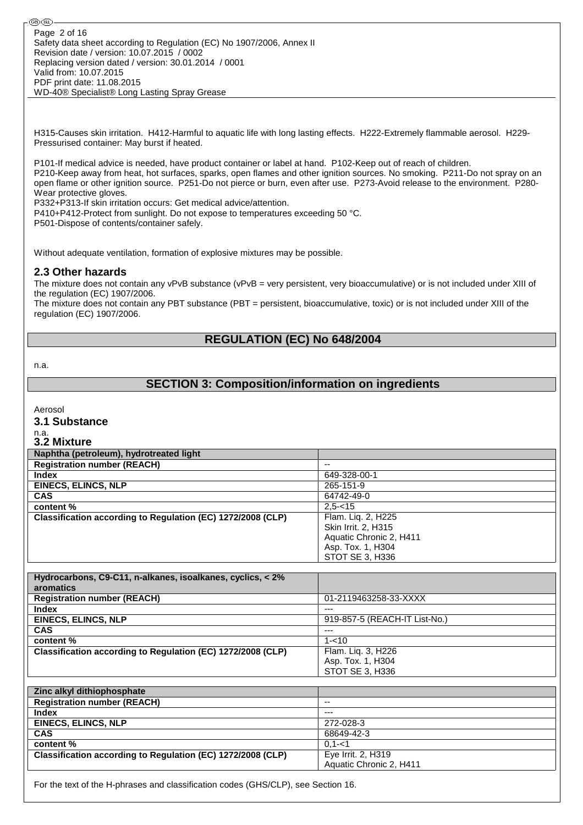H315-Causes skin irritation. H412-Harmful to aquatic life with long lasting effects. H222-Extremely flammable aerosol. H229- Pressurised container: May burst if heated.

P101-If medical advice is needed, have product container or label at hand. P102-Keep out of reach of children. P210-Keep away from heat, hot surfaces, sparks, open flames and other ignition sources. No smoking. P211-Do not spray on an open flame or other ignition source. P251-Do not pierce or burn, even after use. P273-Avoid release to the environment. P280- Wear protective gloves.

P332+P313-If skin irritation occurs: Get medical advice/attention.

P410+P412-Protect from sunlight. Do not expose to temperatures exceeding 50 °C.

P501-Dispose of contents/container safely.

Without adequate ventilation, formation of explosive mixtures may be possible.

#### **2.3 Other hazards**

The mixture does not contain any vPvB substance (vPvB = very persistent, very bioaccumulative) or is not included under XIII of the regulation (EC) 1907/2006.

The mixture does not contain any PBT substance (PBT = persistent, bioaccumulative, toxic) or is not included under XIII of the regulation (EC) 1907/2006.

### **REGULATION (EC) No 648/2004**

n.a.

# **SECTION 3: Composition/information on ingredients**

Aerosol

**3.1 Substance**

n.a.

| 3.2 Mixture                                                 |                         |
|-------------------------------------------------------------|-------------------------|
| Naphtha (petroleum), hydrotreated light                     |                         |
| <b>Registration number (REACH)</b>                          | --                      |
| <b>Index</b>                                                | 649-328-00-1            |
| <b>EINECS, ELINCS, NLP</b>                                  | 265-151-9               |
| <b>CAS</b>                                                  | 64742-49-0              |
| content %                                                   | $2.5 - 15$              |
| Classification according to Regulation (EC) 1272/2008 (CLP) | Flam. Lig. 2, H225      |
|                                                             | Skin Irrit. 2, H315     |
|                                                             | Aquatic Chronic 2, H411 |
|                                                             | Asp. Tox. 1, H304       |
|                                                             | STOT SE 3, H336         |

| Hydrocarbons, C9-C11, n-alkanes, isoalkanes, cyclics, < 2%  |                               |
|-------------------------------------------------------------|-------------------------------|
| aromatics                                                   |                               |
| <b>Registration number (REACH)</b>                          | 01-2119463258-33-XXXX         |
| <b>Index</b>                                                | $---$                         |
| <b>EINECS, ELINCS, NLP</b>                                  | 919-857-5 (REACH-IT List-No.) |
| <b>CAS</b>                                                  | ---                           |
| content %                                                   | $1 - 10$                      |
| Classification according to Regulation (EC) 1272/2008 (CLP) | Flam. Lig. 3, H226            |
|                                                             | Asp. Tox. 1, H304             |
|                                                             | STOT SE 3. H336               |

| Zinc alkyl dithiophosphate                                  |                         |
|-------------------------------------------------------------|-------------------------|
| <b>Registration number (REACH)</b>                          | $- -$                   |
| <b>Index</b>                                                | $---$                   |
| <b>EINECS, ELINCS, NLP</b>                                  | 272-028-3               |
| <b>CAS</b>                                                  | 68649-42-3              |
| content %                                                   | $0.1 - 1$               |
| Classification according to Regulation (EC) 1272/2008 (CLP) | Eye Irrit. 2, H319      |
|                                                             | Aquatic Chronic 2, H411 |

For the text of the H-phrases and classification codes (GHS/CLP), see Section 16.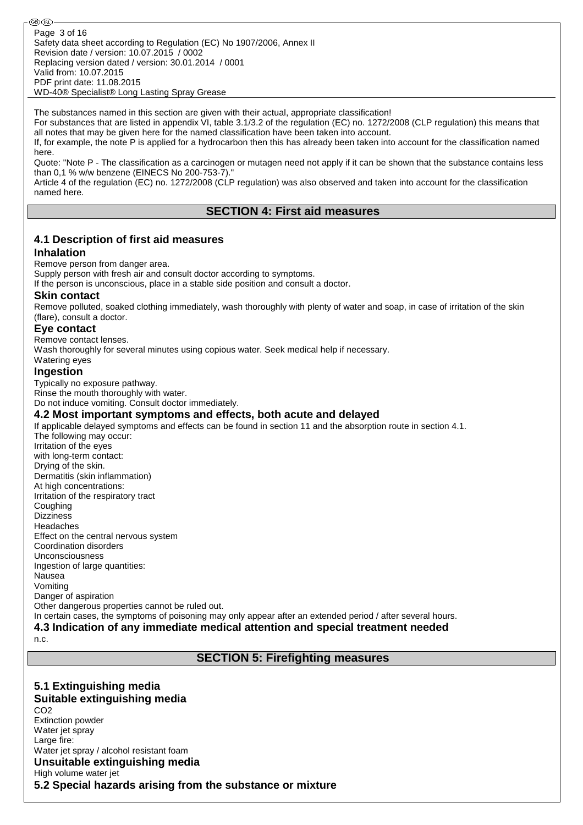The substances named in this section are given with their actual, appropriate classification!

For substances that are listed in appendix VI, table 3.1/3.2 of the regulation (EC) no. 1272/2008 (CLP regulation) this means that all notes that may be given here for the named classification have been taken into account.

If, for example, the note P is applied for a hydrocarbon then this has already been taken into account for the classification named here.

Quote: "Note P - The classification as a carcinogen or mutagen need not apply if it can be shown that the substance contains less than 0,1 % w/w benzene (EINECS No 200-753-7)."

Article 4 of the regulation (EC) no. 1272/2008 (CLP regulation) was also observed and taken into account for the classification named here.

### **SECTION 4: First aid measures**

# **4.1 Description of first aid measures**

#### **Inhalation**

Remove person from danger area.

Supply person with fresh air and consult doctor according to symptoms.

If the person is unconscious, place in a stable side position and consult a doctor.

#### **Skin contact**

Remove polluted, soaked clothing immediately, wash thoroughly with plenty of water and soap, in case of irritation of the skin (flare), consult a doctor.

#### **Eye contact**

Remove contact lenses.

Wash thoroughly for several minutes using copious water. Seek medical help if necessary.

#### Watering eyes **Ingestion**

Typically no exposure pathway. Rinse the mouth thoroughly with water. Do not induce vomiting. Consult doctor immediately.

#### **4.2 Most important symptoms and effects, both acute and delayed**

If applicable delayed symptoms and effects can be found in section 11 and the absorption route in section 4.1. The following may occur: Irritation of the eyes with long-term contact: Drying of the skin. Dermatitis (skin inflammation) At high concentrations: Irritation of the respiratory tract **Coughing** Dizziness Headaches Effect on the central nervous system Coordination disorders Unconsciousness Ingestion of large quantities:

Nausea Vomiting Danger of aspiration

Other dangerous properties cannot be ruled out.

In certain cases, the symptoms of poisoning may only appear after an extended period / after several hours.

**4.3 Indication of any immediate medical attention and special treatment needed**

n.c.

# **SECTION 5: Firefighting measures**

**5.1 Extinguishing media Suitable extinguishing media** CO<sub>2</sub> Extinction powder Water jet spray Large fire: Water jet spray / alcohol resistant foam **Unsuitable extinguishing media** High volume water jet **5.2 Special hazards arising from the substance or mixture**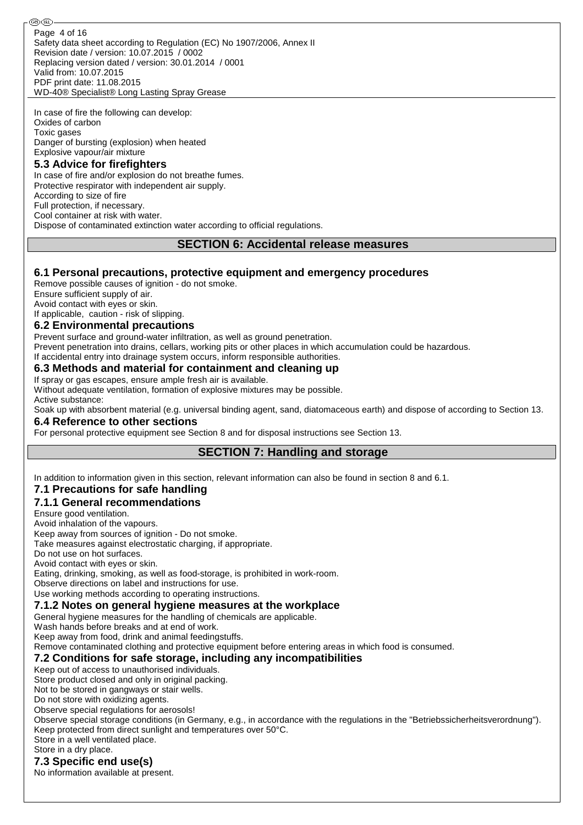Safety data sheet according to Regulation (EC) No 1907/2006, Annex II Revision date / version: 10.07.2015 / 0002 Replacing version dated / version: 30.01.2014 / 0001 Valid from: 10.07.2015 PDF print date: 11.08.2015 WD-40® Specialist® Long Lasting Spray Grease Page 4 of 16

In case of fire the following can develop: Oxides of carbon Toxic gases Danger of bursting (explosion) when heated Explosive vapour/air mixture

### **5.3 Advice for firefighters**

ை (RD

In case of fire and/or explosion do not breathe fumes. Protective respirator with independent air supply. According to size of fire Full protection, if necessary. Cool container at risk with water. Dispose of contaminated extinction water according to official regulations.

#### **SECTION 6: Accidental release measures**

#### **6.1 Personal precautions, protective equipment and emergency procedures**

Remove possible causes of ignition - do not smoke.

Ensure sufficient supply of air.

Avoid contact with eyes or skin.

If applicable, caution - risk of slipping.

#### **6.2 Environmental precautions**

Prevent surface and ground-water infiltration, as well as ground penetration. Prevent penetration into drains, cellars, working pits or other places in which accumulation could be hazardous. If accidental entry into drainage system occurs, inform responsible authorities.

#### **6.3 Methods and material for containment and cleaning up**

If spray or gas escapes, ensure ample fresh air is available.

Without adequate ventilation, formation of explosive mixtures may be possible. Active substance:

Soak up with absorbent material (e.g. universal binding agent, sand, diatomaceous earth) and dispose of according to Section 13. **6.4 Reference to other sections**

For personal protective equipment see Section 8 and for disposal instructions see Section 13.

# **SECTION 7: Handling and storage**

In addition to information given in this section, relevant information can also be found in section 8 and 6.1.

### **7.1 Precautions for safe handling**

### **7.1.1 General recommendations**

Ensure good ventilation.

Avoid inhalation of the vapours.

Keep away from sources of ignition - Do not smoke.

Take measures against electrostatic charging, if appropriate.

Do not use on hot surfaces. Avoid contact with eyes or skin.

Eating, drinking, smoking, as well as food-storage, is prohibited in work-room.

Observe directions on label and instructions for use.

Use working methods according to operating instructions.

#### **7.1.2 Notes on general hygiene measures at the workplace**

General hygiene measures for the handling of chemicals are applicable.

Wash hands before breaks and at end of work.

Keep away from food, drink and animal feedingstuffs.

Remove contaminated clothing and protective equipment before entering areas in which food is consumed.

#### **7.2 Conditions for safe storage, including any incompatibilities**

Keep out of access to unauthorised individuals.

Store product closed and only in original packing.

Not to be stored in gangways or stair wells.

Do not store with oxidizing agents.

Observe special regulations for aerosols!

Observe special storage conditions (in Germany, e.g., in accordance with the regulations in the "Betriebssicherheitsverordnung"). Keep protected from direct sunlight and temperatures over 50°C. Store in a well ventilated place.

Store in a dry place.

# **7.3 Specific end use(s)**

No information available at present.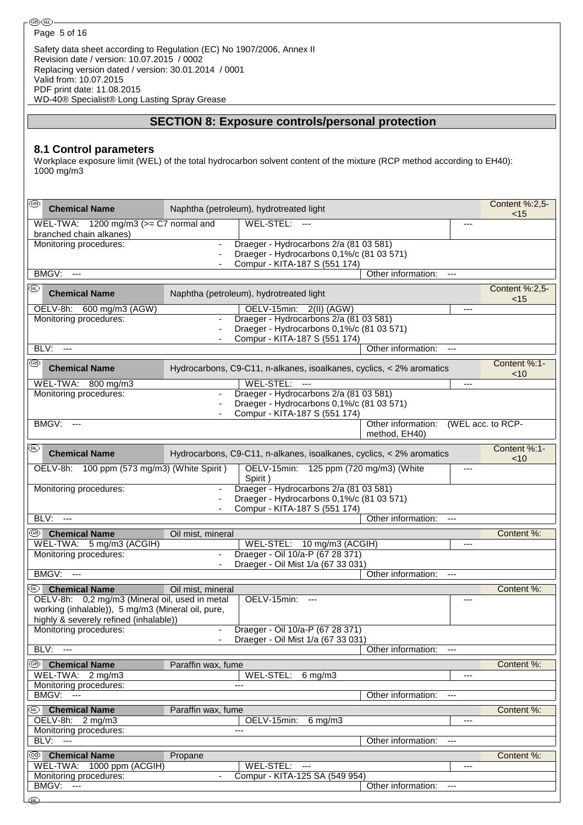# **SECTION 8: Exposure controls/personal protection**

#### **8.1 Control parameters**

Workplace exposure limit (WEL) of the total hydrocarbon solvent content of the mixture (RCP method according to EH40): 1000 mg/m3

| ⊛    | <b>Chemical Name</b>                                                                                                                          |                          | Naphtha (petroleum), hydrotreated light                                                                                                         |                                     |                          |                       |  |  |  |
|------|-----------------------------------------------------------------------------------------------------------------------------------------------|--------------------------|-------------------------------------------------------------------------------------------------------------------------------------------------|-------------------------------------|--------------------------|-----------------------|--|--|--|
|      | WEL-TWA: $1200 \text{ mg/m}$ 3 ( $>=$ C7 normal and<br>branched chain alkanes)                                                                |                          | WEL-STEL: ---                                                                                                                                   |                                     | ---                      |                       |  |  |  |
|      | Monitoring procedures:                                                                                                                        |                          | Draeger - Hydrocarbons 2/a (81 03 581)<br>Draeger - Hydrocarbons 0,1%/c (81 03 571)<br>Compur - KITA-187 S (551 174)                            |                                     |                          |                       |  |  |  |
|      | BMGV:<br>$---$                                                                                                                                |                          |                                                                                                                                                 | Other information:                  | $\overline{\phantom{a}}$ |                       |  |  |  |
| œ    | <b>Chemical Name</b>                                                                                                                          |                          | Naphtha (petroleum), hydrotreated light                                                                                                         |                                     |                          | Content %:2,5-<br>~15 |  |  |  |
| BLV: | OELV-8h: 600 mg/m3 (AGW)<br>Monitoring procedures:<br>$\overline{a}$                                                                          |                          | OELV-15min: 2(II) (AGW)<br>Draeger - Hydrocarbons 2/a (81 03 581)<br>Draeger - Hydrocarbons 0,1%/c (81 03 571)<br>Compur - KITA-187 S (551 174) | Other information:                  | ---                      |                       |  |  |  |
| ⊛    |                                                                                                                                               |                          |                                                                                                                                                 |                                     |                          | Content %:1-          |  |  |  |
|      | <b>Chemical Name</b>                                                                                                                          |                          | Hydrocarbons, C9-C11, n-alkanes, isoalkanes, cyclics, < 2% aromatics                                                                            |                                     |                          | < 10                  |  |  |  |
|      | WEL-TWA: 800 mg/m3<br>Monitoring procedures:                                                                                                  | $\overline{\phantom{a}}$ | WEL-STEL: ---<br>Draeger - Hydrocarbons 2/a (81 03 581)<br>Draeger - Hydrocarbons 0,1%/c (81 03 571)<br>Compur - KITA-187 S (551 174)           |                                     |                          |                       |  |  |  |
|      | BMGV:<br>$---$                                                                                                                                |                          |                                                                                                                                                 | Other information:<br>method, EH40) |                          | (WEL acc. to RCP-     |  |  |  |
| (BL) | <b>Chemical Name</b>                                                                                                                          |                          | Hydrocarbons, C9-C11, n-alkanes, isoalkanes, cyclics, < 2% aromatics                                                                            |                                     |                          | Content %:1-<br>~10   |  |  |  |
|      | OELV-8h: 100 ppm (573 mg/m3) (White Spirit)                                                                                                   |                          | OELV-15min: 125 ppm (720 mg/m3) (White<br>Spirit)                                                                                               |                                     |                          |                       |  |  |  |
|      | Monitoring procedures:                                                                                                                        | $\overline{\phantom{a}}$ | Draeger - Hydrocarbons 2/a (81 03 581)<br>Draeger - Hydrocarbons 0,1%/c (81 03 571)<br>Compur - KITA-187 S (551 174)                            |                                     |                          |                       |  |  |  |
| BLV: | $\scriptstyle \cdots$                                                                                                                         |                          |                                                                                                                                                 | Other information:                  | $\overline{a}$           |                       |  |  |  |
|      | <sup>39</sup> Chemical Name                                                                                                                   | Oil mist, mineral        |                                                                                                                                                 |                                     |                          | Content %:            |  |  |  |
|      | WEL-TWA: 5 mg/m3 (ACGIH)<br>Monitoring procedures:                                                                                            |                          | WEL-STEL: 10 mg/m3 (ACGIH)<br>Draeger - Oil 10/a-P (67 28 371)<br>Draeger - Oil Mist 1/a (67 33 031)                                            |                                     | ---                      |                       |  |  |  |
|      | BMGV:<br>$\overline{\phantom{a}}$                                                                                                             |                          |                                                                                                                                                 | Other information:                  | $---$                    |                       |  |  |  |
|      | <sup>49</sup> Chemical Name                                                                                                                   | Oil mist, mineral        |                                                                                                                                                 |                                     |                          | Content %:            |  |  |  |
|      | OELV-8h: 0,2 mg/m3 (Mineral oil, used in metal<br>working (inhalable)), 5 mg/m3 (Mineral oil, pure,<br>highly & severely refined (inhalable)) |                          | OELV-15min:                                                                                                                                     |                                     |                          |                       |  |  |  |
|      | Monitoring procedures:                                                                                                                        |                          | Draeger - Oil 10/a-P (67 28 371)<br>Draeger - Oil Mist 1/a (67 33 031)                                                                          |                                     |                          |                       |  |  |  |
|      | BLV: ---                                                                                                                                      |                          |                                                                                                                                                 | Other information:                  | $\overline{a}$           |                       |  |  |  |
|      | <sup>®</sup> Chemical Name<br>WEL-TWA: 2 mg/m3                                                                                                | Paraffin wax, fume       | WEL-STEL:<br>$6 \text{ mg/m}$ 3                                                                                                                 |                                     | ---                      | Content %:            |  |  |  |
|      | Monitoring procedures:<br><b>BMGV: ---</b>                                                                                                    |                          | ---                                                                                                                                             | Other information:                  |                          |                       |  |  |  |
| ®    | <b>Chemical Name</b>                                                                                                                          | Paraffin wax, fume       |                                                                                                                                                 |                                     |                          | Content %:            |  |  |  |
|      | OELV-8h: 2 mg/m3<br>Monitoring procedures:                                                                                                    |                          | OELV-15min:<br>$6 \text{ mg/m}$ 3<br>---                                                                                                        |                                     | ---                      |                       |  |  |  |
|      | <b>BLV: ---</b>                                                                                                                               |                          |                                                                                                                                                 | Other information:                  |                          |                       |  |  |  |
| ©B)  | <b>Chemical Name</b>                                                                                                                          | Propane                  |                                                                                                                                                 |                                     |                          | Content %:            |  |  |  |
|      | WEL-TWA: 1000 ppm (ACGIH)                                                                                                                     |                          | WEL-STEL: ---                                                                                                                                   |                                     | ---                      |                       |  |  |  |
|      | Monitoring procedures:<br>BMGV:<br>$---$                                                                                                      | $\overline{\phantom{a}}$ | Compur - KITA-125 SA (549 954)                                                                                                                  | Other information:                  | $\overline{a}$           |                       |  |  |  |
| ′തി  |                                                                                                                                               |                          |                                                                                                                                                 |                                     |                          |                       |  |  |  |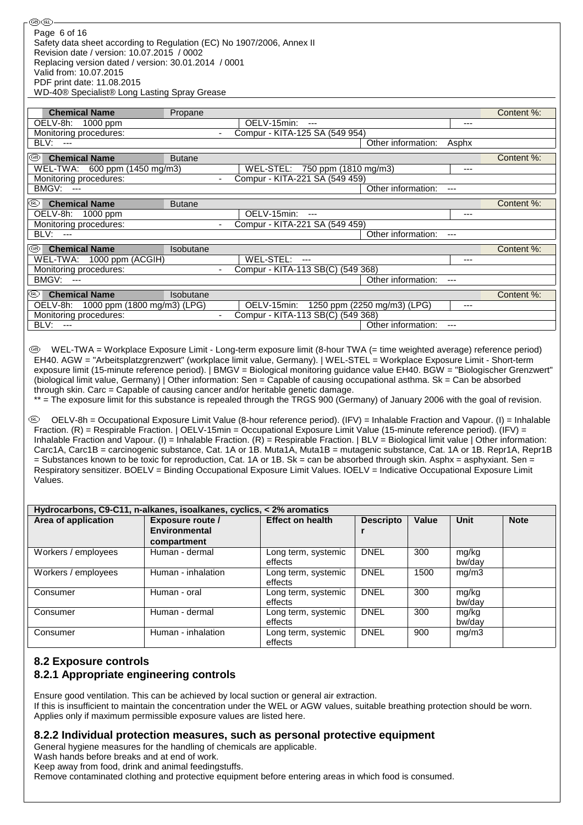ை® Page 6 of 16Safety data sheet according to Regulation (EC) No 1907/2006, Annex II Revision date / version: 10.07.2015 / 0002 Replacing version dated / version: 30.01.2014 / 0001 Valid from: 10.07.2015 PDF print date: 11.08.2015 WD-40® Specialist® Long Lasting Spray Grease

| <b>Chemical Name</b>                 | Propane          |                                   |                             |       | Content %: |
|--------------------------------------|------------------|-----------------------------------|-----------------------------|-------|------------|
| OELV-8h: 1000 ppm                    |                  | OELV-15min:<br>$---$              |                             | ---   |            |
| Monitoring procedures:               | $\blacksquare$   | Compur - KITA-125 SA (549 954)    |                             |       |            |
| BLV:<br>$---$                        |                  |                                   | Other information:          | Asphx |            |
| ⊛<br><b>Chemical Name</b>            | <b>Butane</b>    |                                   |                             |       | Content %: |
| WEL-TWA: 600 ppm (1450 mg/m3)        |                  | WEL-STEL: 750 ppm (1810 mg/m3)    |                             | ---   |            |
| Monitoring procedures:               |                  | Compur - KITA-221 SA (549 459)    |                             |       |            |
| <b>BMGV: ---</b>                     |                  |                                   | Other information:          | $---$ |            |
| <b>Chemical Name</b><br>(BL)         | <b>Butane</b>    |                                   |                             |       | Content %: |
| OELV-8h: 1000 ppm                    |                  | OELV-15min:<br>$---$              |                             | ---   |            |
| Monitoring procedures:               |                  | Compur - KITA-221 SA (549 459)    |                             |       |            |
| BLV: ---                             |                  |                                   | Other information:          | ---   |            |
| ⊛<br><b>Chemical Name</b>            | <b>Isobutane</b> |                                   |                             |       | Content %: |
| WEL-TWA: 1000 ppm (ACGIH)            |                  | WEL-STEL: ---                     |                             | ---   |            |
| Monitoring procedures:               |                  | Compur - KITA-113 SB(C) (549 368) |                             |       |            |
| BMGV: ---                            |                  |                                   | Other information:          | ---   |            |
| ⅏<br><b>Chemical Name</b>            | <b>Isobutane</b> |                                   |                             |       | Content %: |
| OELV-8h: 1000 ppm (1800 mg/m3) (LPG) |                  | OELV-15min:                       | 1250 ppm (2250 mg/m3) (LPG) | $---$ |            |
| Monitoring procedures:               |                  | Compur - KITA-113 SB(C) (549 368) |                             |       |            |
| BLV:<br>$---$                        |                  |                                   | Other information:          | ---   |            |

WEL-TWA = Workplace Exposure Limit - Long-term exposure limit (8-hour TWA (= time weighted average) reference period) EH40. AGW = "Arbeitsplatzgrenzwert" (workplace limit value, Germany). | WEL-STEL = Workplace Exposure Limit - Short-term exposure limit (15-minute reference period). | BMGV = Biological monitoring guidance value EH40. BGW = "Biologischer Grenzwert" (biological limit value, Germany) | Other information: Sen = Capable of causing occupational asthma. Sk = Can be absorbed through skin. Carc = Capable of causing cancer and/or heritable genetic damage.

\*\* = The exposure limit for this substance is repealed through the TRGS 900 (Germany) of January 2006 with the goal of revision.

 OELV-8h = Occupational Exposure Limit Value (8-hour reference period). (IFV) = Inhalable Fraction and Vapour. (I) = Inhalable Fraction. (R) = Respirable Fraction. | OELV-15min = Occupational Exposure Limit Value (15-minute reference period). (IFV) = Inhalable Fraction and Vapour. (I) = Inhalable Fraction. (R) = Respirable Fraction. | BLV = Biological limit value | Other information: Carc1A, Carc1B = carcinogenic substance, Cat. 1A or 1B. Muta1A, Muta1B = mutagenic substance, Cat. 1A or 1B. Repr1A, Repr1B  $=$  Substances known to be toxic for reproduction. Cat. 1A or 1B. Sk = can be absorbed through skin. Asphx = asphyxiant. Sen  $=$ Respiratory sensitizer. BOELV = Binding Occupational Exposure Limit Values. IOELV = Indicative Occupational Exposure Limit Values.

| Hydrocarbons, C9-C11, n-alkanes, isoalkanes, cyclics, < 2% aromatics |                         |                                |                  |              |                 |             |  |  |  |
|----------------------------------------------------------------------|-------------------------|--------------------------------|------------------|--------------|-----------------|-------------|--|--|--|
| Area of application                                                  | <b>Exposure route /</b> | <b>Effect on health</b>        | <b>Descripto</b> | <b>Value</b> | Unit            | <b>Note</b> |  |  |  |
|                                                                      | <b>Environmental</b>    |                                |                  |              |                 |             |  |  |  |
|                                                                      | compartment             |                                |                  |              |                 |             |  |  |  |
| Workers / employees                                                  | Human - dermal          | Long term, systemic<br>effects | <b>DNEL</b>      | 300          | mg/kg<br>bw/dav |             |  |  |  |
| Workers / employees                                                  | Human - inhalation      | Long term, systemic<br>effects | <b>DNEL</b>      | 1500         | mg/m3           |             |  |  |  |
| Consumer                                                             | Human - oral            | Long term, systemic<br>effects | <b>DNEL</b>      | 300          | mg/kg<br>bw/day |             |  |  |  |
| Consumer                                                             | Human - dermal          | Long term, systemic<br>effects | <b>DNEL</b>      | 300          | mg/kg<br>bw/dav |             |  |  |  |
| Consumer                                                             | Human - inhalation      | Long term, systemic<br>effects | <b>DNEL</b>      | 900          | mg/m3           |             |  |  |  |

# **8.2 Exposure controls 8.2.1 Appropriate engineering controls**

Ensure good ventilation. This can be achieved by local suction or general air extraction. If this is insufficient to maintain the concentration under the WEL or AGW values, suitable breathing protection should be worn. Applies only if maximum permissible exposure values are listed here.

#### **8.2.2 Individual protection measures, such as personal protective equipment**

General hygiene measures for the handling of chemicals are applicable.

Wash hands before breaks and at end of work.

Keep away from food, drink and animal feedingstuffs.

Remove contaminated clothing and protective equipment before entering areas in which food is consumed.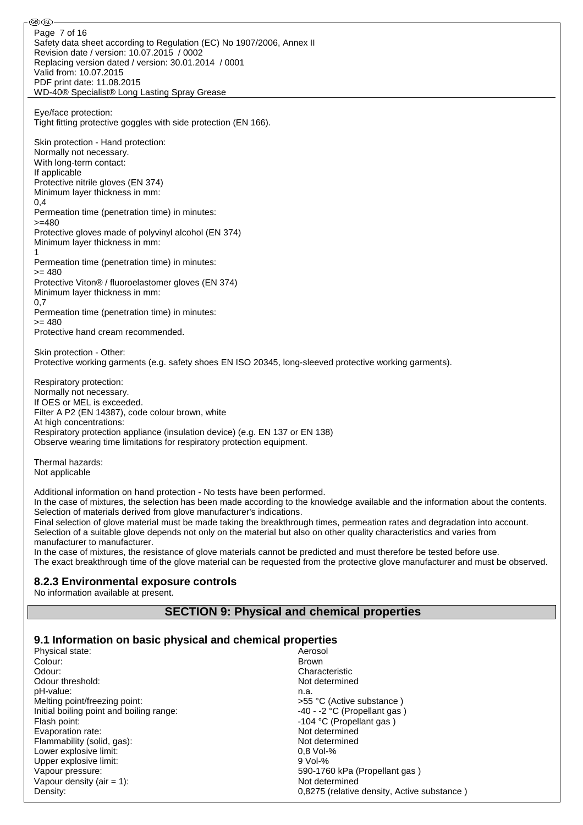Safety data sheet according to Regulation (EC) No 1907/2006, Annex II Revision date / version: 10.07.2015 / 0002 Replacing version dated / version: 30.01.2014 / 0001 Valid from: 10.07.2015 PDF print date: 11.08.2015 WD-40® Specialist® Long Lasting Spray Grease Eye/face protection: Tight fitting protective goggles with side protection (EN 166). Skin protection - Hand protection: Normally not necessary. With long-term contact: If applicable Protective nitrile gloves (EN 374) Minimum layer thickness in mm:  $0.4$ Permeation time (penetration time) in minutes:  $>=480$ Protective gloves made of polyvinyl alcohol (EN 374) Minimum layer thickness in mm: 1 Permeation time (penetration time) in minutes:  $= 480$ Protective Viton® / fluoroelastomer gloves (EN 374) Minimum layer thickness in mm: 0,7 Permeation time (penetration time) in minutes:  $= 480$ Protective hand cream recommended. Skin protection - Other: Protective working garments (e.g. safety shoes EN ISO 20345, long-sleeved protective working garments). Respiratory protection: Normally not necessary. If OES or MEL is exceeded. Filter A P2 (EN 14387), code colour brown, white At high concentrations: Respiratory protection appliance (insulation device) (e.g. EN 137 or EN 138) Observe wearing time limitations for respiratory protection equipment. Page 7 of 16

Thermal hazards: Not applicable

ை®

Additional information on hand protection - No tests have been performed.

In the case of mixtures, the selection has been made according to the knowledge available and the information about the contents. Selection of materials derived from glove manufacturer's indications.

Final selection of glove material must be made taking the breakthrough times, permeation rates and degradation into account. Selection of a suitable glove depends not only on the material but also on other quality characteristics and varies from manufacturer to manufacturer.

In the case of mixtures, the resistance of glove materials cannot be predicted and must therefore be tested before use. The exact breakthrough time of the glove material can be requested from the protective glove manufacturer and must be observed.

#### **8.2.3 Environmental exposure controls**

No information available at present.

### **SECTION 9: Physical and chemical properties**

### **9.1 Information on basic physical and chemical properties**

| Physical state:                          | Aerosol                                     |
|------------------------------------------|---------------------------------------------|
| Colour:                                  | Brown                                       |
| Odour:                                   | Characteristic                              |
| Odour threshold:                         | Not determined                              |
| pH-value:                                | n.a.                                        |
| Melting point/freezing point:            | >55 °C (Active substance)                   |
| Initial boiling point and boiling range: | $-40$ - $-2$ °C (Propellant gas)            |
| Flash point:                             | -104 °C (Propellant gas)                    |
| Evaporation rate:                        | Not determined                              |
| Flammability (solid, gas):               | Not determined                              |
| Lower explosive limit:                   | $0.8$ Vol-%                                 |
| Upper explosive limit:                   | $9$ Vol-%                                   |
| Vapour pressure:                         | 590-1760 kPa (Propellant gas)               |
| Vapour density (air $= 1$ ):             | Not determined                              |
| Density:                                 | 0.8275 (relative density, Active substance) |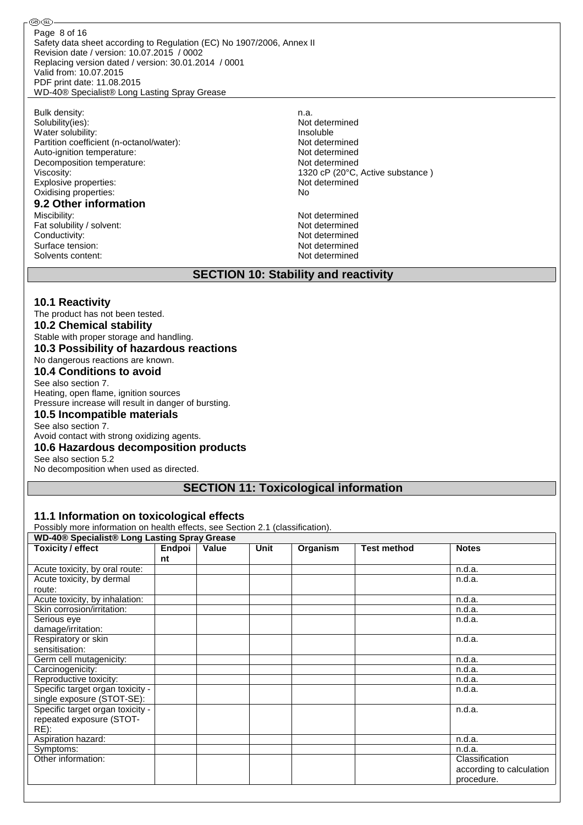Safety data sheet according to Regulation (EC) No 1907/2006, Annex II Revision date / version: 10.07.2015 / 0002 Replacing version dated / version: 30.01.2014 / 0001 Valid from: 10.07.2015 PDF print date: 11.08.2015 WD-40® Specialist® Long Lasting Spray Grease Page 8 of 16

Bulk density:<br>Solubility(ies): n.a. Not determined Solubility(ies): Water solubility: <br>
Partition coefficient (n-octanol/water): <br>
Partition coefficient (n-octanol/water): <br>
Partition coefficient (n-octanol/water): Partition coefficient (n-octanol/water): Auto-ignition temperature:<br>
Decomposition temperature:<br>
Not determined<br>
Not determined Decomposition temperature: Viscosity: 1320 cP (20°C, Active substance )<br>Explosive properties: 1320 cP (20°C, Active substance ) Explosive properties: Oxidising properties: No

# **9.2 Other information**

Fat solubility / solvent: Not determined Conductivity:<br>
Surface tension:<br>
Not determined<br>
Not determined Surface tension: Solvents content: Not determined

®®

Not determined

# **SECTION 10: Stability and reactivity**

#### **10.1 Reactivity**

The product has not been tested.

#### **10.2 Chemical stability**

Stable with proper storage and handling.

#### **10.3 Possibility of hazardous reactions**

No dangerous reactions are known.

#### **10.4 Conditions to avoid**

See also section 7. Heating, open flame, ignition sources Pressure increase will result in danger of bursting.

#### **10.5 Incompatible materials**

See also section 7.

Avoid contact with strong oxidizing agents.

#### **10.6 Hazardous decomposition products**

See also section 5.2

No decomposition when used as directed.

#### **SECTION 11: Toxicological information**

#### **11.1 Information on toxicological effects**

Possibly more information on health effects, see Section 2.1 (classification).

**WD-40® Specialist® Long Lasting Spray Grease**

| <b>Toxicity / effect</b>         | ----<br>Endpoi | Value | <b>Unit</b> | Organism | <b>Test method</b> | <b>Notes</b>             |
|----------------------------------|----------------|-------|-------------|----------|--------------------|--------------------------|
|                                  | nt             |       |             |          |                    |                          |
| Acute toxicity, by oral route:   |                |       |             |          |                    | n.d.a.                   |
| Acute toxicity, by dermal        |                |       |             |          |                    | n.d.a.                   |
| route:                           |                |       |             |          |                    |                          |
| Acute toxicity, by inhalation:   |                |       |             |          |                    | n.d.a.                   |
| Skin corrosion/irritation:       |                |       |             |          |                    | n.d.a.                   |
| Serious eye                      |                |       |             |          |                    | n.d.a.                   |
| damage/irritation:               |                |       |             |          |                    |                          |
| Respiratory or skin              |                |       |             |          |                    | n.d.a.                   |
| sensitisation:                   |                |       |             |          |                    |                          |
| Germ cell mutagenicity:          |                |       |             |          |                    | n.d.a.                   |
| Carcinogenicity:                 |                |       |             |          |                    | n.d.a.                   |
| Reproductive toxicity:           |                |       |             |          |                    | n.d.a.                   |
| Specific target organ toxicity - |                |       |             |          |                    | n.d.a.                   |
| single exposure (STOT-SE):       |                |       |             |          |                    |                          |
| Specific target organ toxicity - |                |       |             |          |                    | n.d.a.                   |
| repeated exposure (STOT-         |                |       |             |          |                    |                          |
| RE):                             |                |       |             |          |                    |                          |
| Aspiration hazard:               |                |       |             |          |                    | n.d.a.                   |
| Symptoms:                        |                |       |             |          |                    | n.d.a.                   |
| Other information:               |                |       |             |          |                    | Classification           |
|                                  |                |       |             |          |                    | according to calculation |
|                                  |                |       |             |          |                    | procedure.               |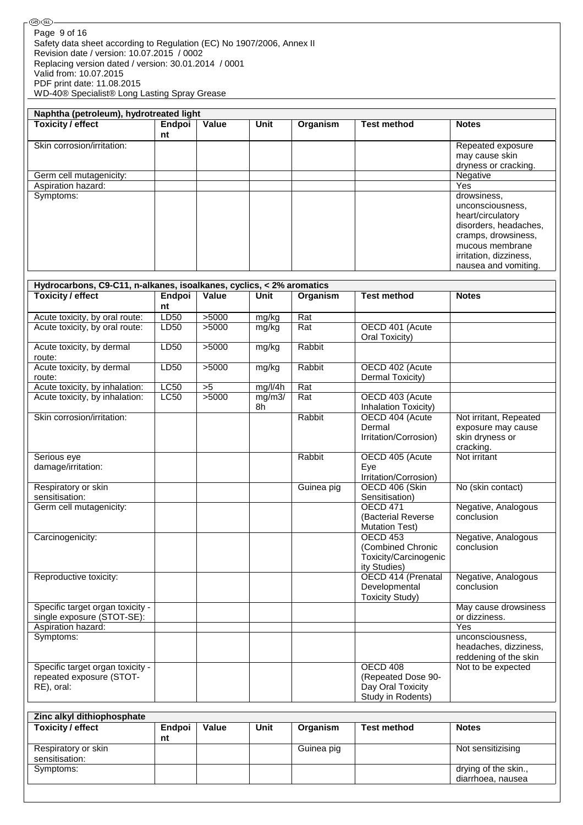| Naphtha (petroleum), hydrotreated light |              |              |             |          |                    |                                                                                                                                                                           |  |
|-----------------------------------------|--------------|--------------|-------------|----------|--------------------|---------------------------------------------------------------------------------------------------------------------------------------------------------------------------|--|
| <b>Toxicity / effect</b>                | Endpoi<br>nt | <b>Value</b> | <b>Unit</b> | Organism | <b>Test method</b> | <b>Notes</b>                                                                                                                                                              |  |
| Skin corrosion/irritation:              |              |              |             |          |                    | Repeated exposure<br>may cause skin<br>dryness or cracking.                                                                                                               |  |
| Germ cell mutagenicity:                 |              |              |             |          |                    | Negative                                                                                                                                                                  |  |
| Aspiration hazard:                      |              |              |             |          |                    | Yes                                                                                                                                                                       |  |
| Symptoms:                               |              |              |             |          |                    | drowsiness,<br>unconsciousness,<br>heart/circulatory<br>disorders, headaches,<br>cramps, drowsiness,<br>mucous membrane<br>irritation, dizziness,<br>nausea and vomiting. |  |

| Hydrocarbons, C9-C11, n-alkanes, isoalkanes, cyclics, < 2% aromatics |             |                 |         |                  |                        |                        |  |
|----------------------------------------------------------------------|-------------|-----------------|---------|------------------|------------------------|------------------------|--|
| <b>Toxicity / effect</b>                                             | Endpoi      | Value           | Unit    | Organism         | <b>Test method</b>     | <b>Notes</b>           |  |
|                                                                      | nt          |                 |         |                  |                        |                        |  |
| Acute toxicity, by oral route:                                       | LD50        | 5000            | mg/kg   | $\overline{Rat}$ |                        |                        |  |
| Acute toxicity, by oral route:                                       | LD50        | >5000           | mg/kg   | Rat              | OECD 401 (Acute        |                        |  |
|                                                                      |             |                 |         |                  | Oral Toxicity)         |                        |  |
| Acute toxicity, by dermal                                            | <b>LD50</b> | >5000           | mg/kg   | Rabbit           |                        |                        |  |
| route:                                                               |             |                 |         |                  |                        |                        |  |
| Acute toxicity, by dermal                                            | LD50        | >5000           | mg/kg   | Rabbit           | OECD 402 (Acute        |                        |  |
| route:                                                               |             |                 |         |                  | Dermal Toxicity)       |                        |  |
| Acute toxicity, by inhalation:                                       | LC50        | $\overline{>5}$ | mg/l/4h | $\overline{Rat}$ |                        |                        |  |
| Acute toxicity, by inhalation:                                       | LC50        | 5000            | mg/m3/  | Rat              | OECD 403 (Acute        |                        |  |
|                                                                      |             |                 | 8h      |                  | Inhalation Toxicity)   |                        |  |
| Skin corrosion/irritation:                                           |             |                 |         | Rabbit           | OECD 404 (Acute        | Not irritant, Repeated |  |
|                                                                      |             |                 |         |                  | Dermal                 | exposure may cause     |  |
|                                                                      |             |                 |         |                  | Irritation/Corrosion)  | skin dryness or        |  |
|                                                                      |             |                 |         |                  |                        | cracking.              |  |
| Serious eye                                                          |             |                 |         | Rabbit           | OECD 405 (Acute        | Not irritant           |  |
| damage/irritation:                                                   |             |                 |         |                  | Eye                    |                        |  |
|                                                                      |             |                 |         |                  | Irritation/Corrosion)  |                        |  |
| Respiratory or skin                                                  |             |                 |         | Guinea pig       | OECD 406 (Skin         | No (skin contact)      |  |
| sensitisation:                                                       |             |                 |         |                  | Sensitisation)         |                        |  |
| Germ cell mutagenicity:                                              |             |                 |         |                  | <b>OECD 471</b>        | Negative, Analogous    |  |
|                                                                      |             |                 |         |                  | (Bacterial Reverse     | conclusion             |  |
|                                                                      |             |                 |         |                  | <b>Mutation Test)</b>  |                        |  |
| Carcinogenicity:                                                     |             |                 |         |                  | <b>OECD 453</b>        | Negative, Analogous    |  |
|                                                                      |             |                 |         |                  | (Combined Chronic      | conclusion             |  |
|                                                                      |             |                 |         |                  | Toxicity/Carcinogenic  |                        |  |
|                                                                      |             |                 |         |                  | ity Studies)           |                        |  |
| Reproductive toxicity:                                               |             |                 |         |                  | OECD 414 (Prenatal     | Negative, Analogous    |  |
|                                                                      |             |                 |         |                  | Developmental          | conclusion             |  |
|                                                                      |             |                 |         |                  | <b>Toxicity Study)</b> |                        |  |
| Specific target organ toxicity -                                     |             |                 |         |                  |                        | May cause drowsiness   |  |
| single exposure (STOT-SE):                                           |             |                 |         |                  |                        | or dizziness.          |  |
| Aspiration hazard:                                                   |             |                 |         |                  |                        | Yes                    |  |
| Symptoms:                                                            |             |                 |         |                  |                        | unconsciousness,       |  |
|                                                                      |             |                 |         |                  |                        | headaches, dizziness,  |  |
|                                                                      |             |                 |         |                  |                        | reddening of the skin  |  |
| Specific target organ toxicity -                                     |             |                 |         |                  | <b>OECD 408</b>        | Not to be expected     |  |
| repeated exposure (STOT-                                             |             |                 |         |                  | (Repeated Dose 90-     |                        |  |
| RE), oral:                                                           |             |                 |         |                  | Day Oral Toxicity      |                        |  |
|                                                                      |             |                 |         |                  | Study in Rodents)      |                        |  |

| Zinc alkyl dithiophosphate |               |              |      |            |                    |                      |  |
|----------------------------|---------------|--------------|------|------------|--------------------|----------------------|--|
| <b>Toxicity / effect</b>   | <b>Endpoi</b> | <b>Value</b> | Unit | Organism   | <b>Test method</b> | <b>Notes</b>         |  |
|                            | nt            |              |      |            |                    |                      |  |
| Respiratory or skin        |               |              |      | Guinea pig |                    | Not sensitizising    |  |
| sensitisation:             |               |              |      |            |                    |                      |  |
| Symptoms:                  |               |              |      |            |                    | drying of the skin., |  |
|                            |               |              |      |            |                    | diarrhoea, nausea    |  |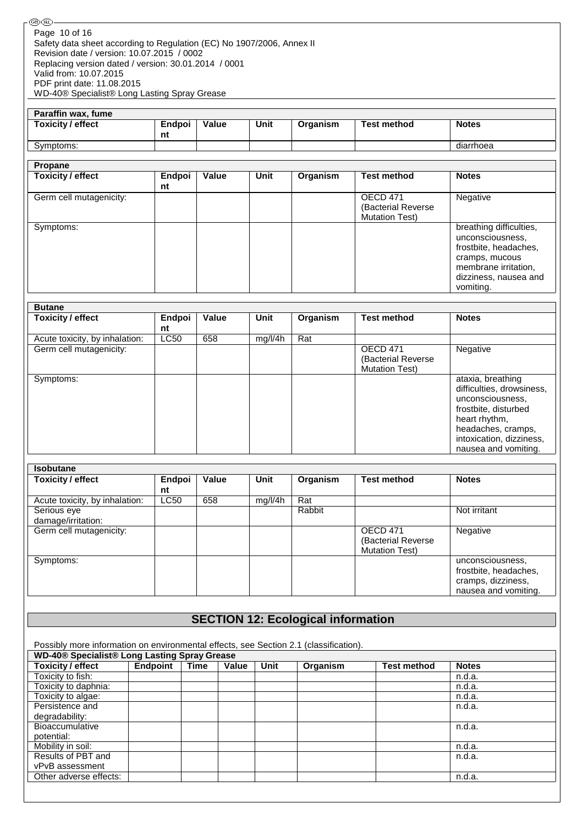| Paraffin wax, fume |        |       |      |          |             |              |
|--------------------|--------|-------|------|----------|-------------|--------------|
| Toxicity / effect  | Endpoi | Value | Unit | Organism | Test method | <b>Notes</b> |
|                    | nt     |       |      |          |             |              |
| Symptoms:          |        |       |      |          |             | diarrhoea    |

| Propane                  |              |       |      |          |                                                         |                                                                                                                                                      |
|--------------------------|--------------|-------|------|----------|---------------------------------------------------------|------------------------------------------------------------------------------------------------------------------------------------------------------|
| <b>Toxicity / effect</b> | Endpoi<br>nt | Value | Unit | Organism | <b>Test method</b>                                      | <b>Notes</b>                                                                                                                                         |
| Germ cell mutagenicity:  |              |       |      |          | OECD 471<br>(Bacterial Reverse<br><b>Mutation Test)</b> | Negative                                                                                                                                             |
| Symptoms:                |              |       |      |          |                                                         | breathing difficulties,<br>unconsciousness,<br>frostbite, headaches,<br>cramps, mucous<br>membrane irritation,<br>dizziness, nausea and<br>vomiting. |

| <b>Butane</b>                  |              |       |         |          |                                                          |                                                                                                                                                                                       |
|--------------------------------|--------------|-------|---------|----------|----------------------------------------------------------|---------------------------------------------------------------------------------------------------------------------------------------------------------------------------------------|
| <b>Toxicity / effect</b>       | Endpoi<br>nt | Value | Unit    | Organism | <b>Test method</b>                                       | <b>Notes</b>                                                                                                                                                                          |
| Acute toxicity, by inhalation: | <b>LC50</b>  | 658   | mg/l/4h | Rat      |                                                          |                                                                                                                                                                                       |
| Germ cell mutagenicity:        |              |       |         |          | OECD 471<br>(Bacterial Reverse)<br><b>Mutation Test)</b> | Negative                                                                                                                                                                              |
| Symptoms:                      |              |       |         |          |                                                          | ataxia, breathing<br>difficulties, drowsiness,<br>unconsciousness,<br>frostbite, disturbed<br>heart rhythm,<br>headaches, cramps,<br>intoxication, dizziness,<br>nausea and vomiting. |

| <b>Isobutane</b>               |             |       |         |          |                                        |                                                                                         |
|--------------------------------|-------------|-------|---------|----------|----------------------------------------|-----------------------------------------------------------------------------------------|
| <b>Toxicity / effect</b>       | Endpoi      | Value | Unit    | Organism | <b>Test method</b>                     | <b>Notes</b>                                                                            |
|                                | nt          |       |         |          |                                        |                                                                                         |
| Acute toxicity, by inhalation: | <b>LC50</b> | 658   | mq/l/4h | Rat      |                                        |                                                                                         |
| Serious eye                    |             |       |         | Rabbit   |                                        | Not irritant                                                                            |
| damage/irritation:             |             |       |         |          |                                        |                                                                                         |
| Germ cell mutagenicity:        |             |       |         |          | <b>OECD 471</b><br>(Bacterial Reverse) | Negative                                                                                |
|                                |             |       |         |          | <b>Mutation Test)</b>                  |                                                                                         |
| Symptoms:                      |             |       |         |          |                                        | unconsciousness,<br>frostbite, headaches,<br>cramps, dizziness,<br>nausea and vomiting. |

# **SECTION 12: Ecological information**

Possibly more information on environmental effects, see Section 2.1 (classification).

| WD-40® Specialist® Long Lasting Spray Grease |                 |      |       |      |          |                    |              |
|----------------------------------------------|-----------------|------|-------|------|----------|--------------------|--------------|
| Toxicity / effect                            | <b>Endpoint</b> | Time | Value | Unit | Organism | <b>Test method</b> | <b>Notes</b> |
| Toxicity to fish:                            |                 |      |       |      |          |                    | n.d.a.       |
| Toxicity to daphnia:                         |                 |      |       |      |          |                    | n.d.a.       |
| Toxicity to algae:                           |                 |      |       |      |          |                    | n.d.a.       |
| Persistence and                              |                 |      |       |      |          |                    | n.d.a.       |
| degradability:                               |                 |      |       |      |          |                    |              |
| <b>Bioaccumulative</b>                       |                 |      |       |      |          |                    | n.d.a.       |
| potential:                                   |                 |      |       |      |          |                    |              |
| Mobility in soil:                            |                 |      |       |      |          |                    | n.d.a.       |
| Results of PBT and                           |                 |      |       |      |          |                    | n.d.a.       |
| vPvB assessment                              |                 |      |       |      |          |                    |              |
| Other adverse effects:                       |                 |      |       |      |          |                    | n.d.a.       |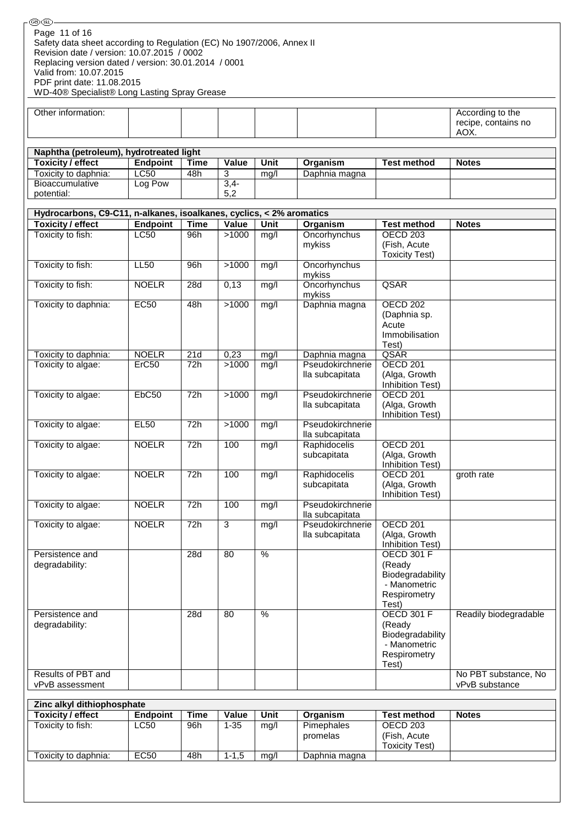| (GB) (IRL)                                                                                                                                                                                   |                   |             |                |                          |                                     |                                                                                          |                                                 |
|----------------------------------------------------------------------------------------------------------------------------------------------------------------------------------------------|-------------------|-------------|----------------|--------------------------|-------------------------------------|------------------------------------------------------------------------------------------|-------------------------------------------------|
| Page 11 of 16<br>Safety data sheet according to Regulation (EC) No 1907/2006, Annex II<br>Revision date / version: 10.07.2015 / 0002<br>Replacing version dated / version: 30.01.2014 / 0001 |                   |             |                |                          |                                     |                                                                                          |                                                 |
| Valid from: 10.07.2015<br>PDF print date: 11.08.2015<br>WD-40® Specialist® Long Lasting Spray Grease                                                                                         |                   |             |                |                          |                                     |                                                                                          |                                                 |
| Other information:                                                                                                                                                                           |                   |             |                |                          |                                     |                                                                                          | According to the<br>recipe, contains no<br>AOX. |
|                                                                                                                                                                                              |                   |             |                |                          |                                     |                                                                                          |                                                 |
| Naphtha (petroleum), hydrotreated light<br><b>Toxicity / effect</b>                                                                                                                          | <b>Endpoint</b>   | <b>Time</b> | Value          | Unit                     | Organism                            | <b>Test method</b>                                                                       | <b>Notes</b>                                    |
| Toxicity to daphnia:                                                                                                                                                                         | <b>LC50</b>       | 48h         | $\overline{3}$ | mg/l                     | Daphnia magna                       |                                                                                          |                                                 |
| Bioaccumulative                                                                                                                                                                              | Log Pow           |             | $3,4-$         |                          |                                     |                                                                                          |                                                 |
| potential:                                                                                                                                                                                   |                   |             | 5,2            |                          |                                     |                                                                                          |                                                 |
| Hydrocarbons, C9-C11, n-alkanes, isoalkanes, cyclics, < 2% aromatics                                                                                                                         |                   |             |                |                          |                                     |                                                                                          |                                                 |
| <b>Toxicity / effect</b>                                                                                                                                                                     | <b>Endpoint</b>   | <b>Time</b> | Value          | Unit                     | Organism                            | <b>Test method</b>                                                                       | <b>Notes</b>                                    |
| Toxicity to fish:                                                                                                                                                                            | <b>LC50</b>       | 96h         | >1000          | mg/l                     | Oncorhynchus<br>mykiss              | OECD <sub>203</sub><br>(Fish, Acute<br><b>Toxicity Test)</b>                             |                                                 |
| Toxicity to fish:                                                                                                                                                                            | LL50              | 96h         | >1000          | mg/l                     | Oncorhynchus<br>mykiss              |                                                                                          |                                                 |
| Toxicity to fish:                                                                                                                                                                            | <b>NOELR</b>      | 28d         | 0,13           | mg/l                     | Oncorhynchus<br>mykiss              | QSAR                                                                                     |                                                 |
| Toxicity to daphnia:                                                                                                                                                                         | <b>EC50</b>       | 48h         | >1000          | mg/l                     | Daphnia magna                       | OECD 202<br>(Daphnia sp.<br>Acute<br>Immobilisation                                      |                                                 |
| Toxicity to daphnia:                                                                                                                                                                         | <b>NOELR</b>      | 21d         | 0,23           | mg/l                     | Daphnia magna                       | Test)<br>QSAR                                                                            |                                                 |
| Toxicity to algae:                                                                                                                                                                           | Erc50             | 72h         | >1000          | mg/l                     | Pseudokirchnerie<br>lla subcapitata | <b>OECD 201</b><br>(Alga, Growth                                                         |                                                 |
| Toxicity to algae:                                                                                                                                                                           | EbC <sub>50</sub> | 72h         | >1000          | mg/l                     | Pseudokirchnerie<br>lla subcapitata | Inhibition Test)<br><b>OECD 201</b><br>(Alga, Growth<br>Inhibition Test)                 |                                                 |
| Toxicity to algae:                                                                                                                                                                           | <b>EL50</b>       | 72h         | >1000          | mg/l                     | Pseudokirchnerie<br>lla subcapitata |                                                                                          |                                                 |
| Toxicity to algae:                                                                                                                                                                           | <b>NOELR</b>      | 72h         | 100            | mg/l                     | Raphidocelis<br>subcapitata         | <b>OECD 201</b><br>(Alga, Growth<br>Inhibition Test)                                     |                                                 |
| Toxicity to algae:                                                                                                                                                                           | <b>NOELR</b>      | 72h         | 100            | mg/l                     | Raphidocelis<br>subcapitata         | OECD <sub>201</sub><br>(Alga, Growth<br>Inhibition Test)                                 | groth rate                                      |
| Toxicity to algae:                                                                                                                                                                           | <b>NOELR</b>      | 72h         | 100            | mg/l                     | Pseudokirchnerie<br>lla subcapitata |                                                                                          |                                                 |
| Toxicity to algae:                                                                                                                                                                           | <b>NOELR</b>      | 72h         | $\overline{3}$ | mg/l                     | Pseudokirchnerie<br>lla subcapitata | <b>OECD 201</b><br>(Alga, Growth<br>Inhibition Test)                                     |                                                 |
| Persistence and<br>degradability:                                                                                                                                                            |                   | 28d         | 80             | $\frac{0}{6}$            |                                     | <b>OECD 301 F</b><br>(Ready<br>Biodegradability<br>- Manometric<br>Respirometry<br>Test) |                                                 |
| Persistence and<br>degradability:                                                                                                                                                            |                   | 28d         | 80             | $\overline{\frac{9}{6}}$ |                                     | <b>OECD 301 F</b><br>(Ready<br>Biodegradability<br>- Manometric<br>Respirometry          | Readily biodegradable                           |
| Results of PBT and<br>vPvB assessment                                                                                                                                                        |                   |             |                |                          |                                     | Test)                                                                                    | No PBT substance, No<br>vPvB substance          |
|                                                                                                                                                                                              |                   |             |                |                          |                                     |                                                                                          |                                                 |
| Zinc alkyl dithiophosphate<br><b>Toxicity / effect</b>                                                                                                                                       | <b>Endpoint</b>   | <b>Time</b> | Value          | Unit                     | Organism                            | <b>Test method</b>                                                                       | <b>Notes</b>                                    |
| Toxicity to fish:                                                                                                                                                                            | <b>LC50</b>       | 96h         | $1 - 35$       | mg/l                     | Pimephales<br>promelas              | <b>OECD 203</b><br>(Fish, Acute                                                          |                                                 |
| Toxicity to daphnia:                                                                                                                                                                         | <b>EC50</b>       | 48h         | $1 - 1,5$      | mg/l                     | Daphnia magna                       | <b>Toxicity Test)</b>                                                                    |                                                 |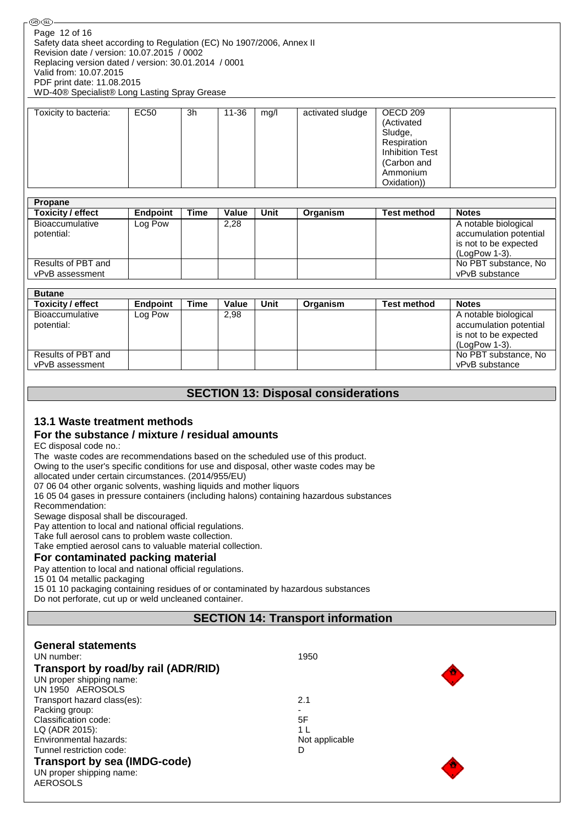| (GB) (IRL)                                                                             |
|----------------------------------------------------------------------------------------|
| Page 12 of 16<br>Safety data sheet according to Regulation (EC) No 1907/2006, Annex II |
| Revision date / version: 10.07.2015 / 0002                                             |
| Replacing version dated / version: 30.01.2014 / 0001                                   |
| Valid from: 10.07.2015                                                                 |
| PDF print date: 11.08.2015                                                             |
| WD-40® Specialist® Long Lasting Spray Grease                                           |
|                                                                                        |

| Toxicity to bacteria: | EC50 | 3h | 11-36 | mq/l | activated sludge | OECD 209<br>(Activated<br>Sludge,<br>Respiration |
|-----------------------|------|----|-------|------|------------------|--------------------------------------------------|
|                       |      |    |       |      |                  | <b>Inhibition Test</b><br>(Carbon and            |
|                       |      |    |       |      |                  | Ammonium<br>Oxidation))                          |

| Propane                               |                 |             |       |      |          |                    |                                                                                          |
|---------------------------------------|-----------------|-------------|-------|------|----------|--------------------|------------------------------------------------------------------------------------------|
| <b>Toxicity / effect</b>              | <b>Endpoint</b> | <b>Time</b> | Value | Unit | Organism | <b>Test method</b> | <b>Notes</b>                                                                             |
| Bioaccumulative<br>potential:         | Log Pow         |             | 2,28  |      |          |                    | A notable biological<br>accumulation potential<br>is not to be expected<br>(LogPow 1-3). |
| Results of PBT and<br>vPvB assessment |                 |             |       |      |          |                    | No PBT substance, No<br>vPvB substance                                                   |
|                                       |                 |             |       |      |          |                    |                                                                                          |

| <b>Butane</b>                 |                 |      |       |      |          |                    |                                                                                          |
|-------------------------------|-----------------|------|-------|------|----------|--------------------|------------------------------------------------------------------------------------------|
| <b>Toxicity / effect</b>      | <b>Endpoint</b> | Time | Value | Unit | Organism | <b>Test method</b> | <b>Notes</b>                                                                             |
| Bioaccumulative<br>potential: | Log Pow         |      | 2,98  |      |          |                    | A notable biological<br>accumulation potential<br>is not to be expected<br>(LogPow 1-3). |
| Results of PBT and            |                 |      |       |      |          |                    | No PBT substance, No                                                                     |
| vPvB assessment               |                 |      |       |      |          |                    | vPvB substance                                                                           |

# **SECTION 13: Disposal considerations**

### **13.1 Waste treatment methods**

#### **For the substance / mixture / residual amounts**

EC disposal code no.:

The waste codes are recommendations based on the scheduled use of this product.

Owing to the user's specific conditions for use and disposal, other waste codes may be

allocated under certain circumstances. (2014/955/EU)

07 06 04 other organic solvents, washing liquids and mother liquors

16 05 04 gases in pressure containers (including halons) containing hazardous substances

Recommendation:

Sewage disposal shall be discouraged.

Pay attention to local and national official regulations.

Take full aerosol cans to problem waste collection.

Take emptied aerosol cans to valuable material collection.

#### **For contaminated packing material**

Pay attention to local and national official regulations.

15 01 04 metallic packaging

15 01 10 packaging containing residues of or contaminated by hazardous substances

Do not perforate, cut up or weld uncleaned container.

# **SECTION 14: Transport information**

| <b>General statements</b>                   |                |
|---------------------------------------------|----------------|
| UN number:                                  | 1950           |
| Transport by road/by rail (ADR/RID)         | M              |
| UN proper shipping name:                    |                |
| UN 1950 AEROSOLS                            |                |
| Transport hazard class(es):                 | 2.1            |
| Packing group:                              | ۰.             |
| Classification code:                        | 5F             |
| LQ (ADR 2015):                              | 1 <sub>L</sub> |
| Environmental hazards:                      | Not applicable |
| Tunnel restriction code:                    | D              |
| <b>Transport by sea (IMDG-code)</b>         | T.             |
| UN proper shipping name:<br><b>AEROSOLS</b> |                |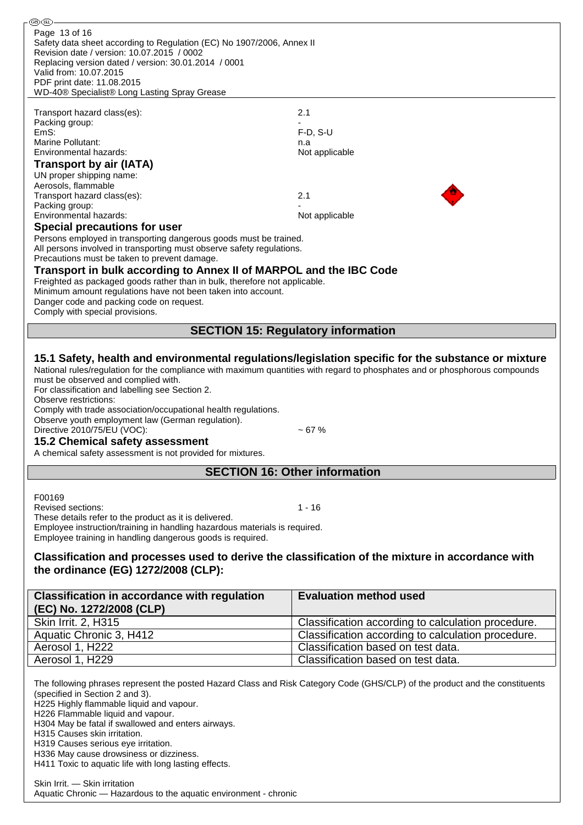| ை (ொ                                                                                                                                     |                                                                                                     |
|------------------------------------------------------------------------------------------------------------------------------------------|-----------------------------------------------------------------------------------------------------|
| Page 13 of 16<br>Safety data sheet according to Regulation (EC) No 1907/2006, Annex II                                                   |                                                                                                     |
| Revision date / version: 10.07.2015 / 0002                                                                                               |                                                                                                     |
| Replacing version dated / version: 30.01.2014 / 0001<br>Valid from: 10.07.2015                                                           |                                                                                                     |
| PDF print date: 11.08.2015                                                                                                               |                                                                                                     |
| WD-40® Specialist® Long Lasting Spray Grease                                                                                             |                                                                                                     |
|                                                                                                                                          |                                                                                                     |
| Transport hazard class(es):                                                                                                              | 2.1                                                                                                 |
| Packing group:                                                                                                                           |                                                                                                     |
| EmS:                                                                                                                                     | $F-D, S-U$                                                                                          |
| Marine Pollutant:                                                                                                                        | n.a                                                                                                 |
| Environmental hazards:                                                                                                                   | Not applicable                                                                                      |
| Transport by air (IATA)                                                                                                                  |                                                                                                     |
| UN proper shipping name:                                                                                                                 |                                                                                                     |
| Aerosols, flammable                                                                                                                      |                                                                                                     |
| Transport hazard class(es):                                                                                                              | 2.1                                                                                                 |
| Packing group:                                                                                                                           |                                                                                                     |
| Environmental hazards:                                                                                                                   | Not applicable                                                                                      |
| <b>Special precautions for user</b>                                                                                                      |                                                                                                     |
| Persons employed in transporting dangerous goods must be trained.                                                                        |                                                                                                     |
| All persons involved in transporting must observe safety regulations.                                                                    |                                                                                                     |
| Precautions must be taken to prevent damage.                                                                                             |                                                                                                     |
| Transport in bulk according to Annex II of MARPOL and the IBC Code                                                                       |                                                                                                     |
| Freighted as packaged goods rather than in bulk, therefore not applicable.                                                               |                                                                                                     |
| Minimum amount regulations have not been taken into account.                                                                             |                                                                                                     |
| Danger code and packing code on request.                                                                                                 |                                                                                                     |
| Comply with special provisions.                                                                                                          |                                                                                                     |
|                                                                                                                                          | <b>SECTION 15: Regulatory information</b>                                                           |
|                                                                                                                                          |                                                                                                     |
|                                                                                                                                          | 15.1 Safety, health and environmental regulations/legislation specific for the substance or mixture |
| National rules/regulation for the compliance with maximum quantities with regard to phosphates and or phosphorous compounds              |                                                                                                     |
| must be observed and complied with.                                                                                                      |                                                                                                     |
| For classification and labelling see Section 2.                                                                                          |                                                                                                     |
| Observe restrictions:                                                                                                                    |                                                                                                     |
| Comply with trade association/occupational health regulations.                                                                           |                                                                                                     |
| Observe youth employment law (German regulation).<br>Directive 2010/75/EU (VOC):                                                         | $~107$ %                                                                                            |
|                                                                                                                                          |                                                                                                     |
| <b>15.2 Chemical safety assessment</b>                                                                                                   |                                                                                                     |
| A chemical safety assessment is not provided for mixtures.                                                                               |                                                                                                     |
|                                                                                                                                          | <b>SECTION 16: Other information</b>                                                                |
|                                                                                                                                          |                                                                                                     |
| F00169                                                                                                                                   |                                                                                                     |
| Revised sections:                                                                                                                        | 1 - 16                                                                                              |
| These details refer to the product as it is delivered.                                                                                   |                                                                                                     |
| Employee instruction/training in handling hazardous materials is required.<br>Employee training in handling dangerous goods is required. |                                                                                                     |
|                                                                                                                                          |                                                                                                     |

# **Classification and processes used to derive the classification of the mixture in accordance with the ordinance (EG) 1272/2008 (CLP):**

| <b>Classification in accordance with regulation</b><br>(EC) No. 1272/2008 (CLP) | <b>Evaluation method used</b>                      |
|---------------------------------------------------------------------------------|----------------------------------------------------|
| Skin Irrit. 2, H315                                                             | Classification according to calculation procedure. |
| Aquatic Chronic 3, H412                                                         | Classification according to calculation procedure. |
| Aerosol 1, H222                                                                 | Classification based on test data.                 |
| Aerosol 1, H229                                                                 | Classification based on test data.                 |

The following phrases represent the posted Hazard Class and Risk Category Code (GHS/CLP) of the product and the constituents (specified in Section 2 and 3).

H225 Highly flammable liquid and vapour.

H226 Flammable liquid and vapour.

H304 May be fatal if swallowed and enters airways.

H315 Causes skin irritation.

H319 Causes serious eye irritation.

H336 May cause drowsiness or dizziness. H411 Toxic to aquatic life with long lasting effects.

Skin Irrit. — Skin irritation Aquatic Chronic — Hazardous to the aquatic environment - chronic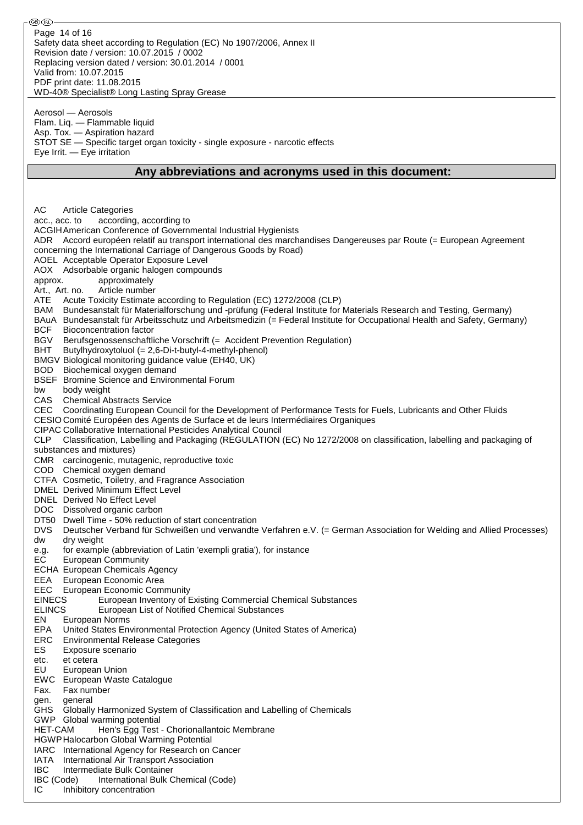| @D(R).                                                                                                                                                                                                                                               |
|------------------------------------------------------------------------------------------------------------------------------------------------------------------------------------------------------------------------------------------------------|
| Page 14 of 16<br>Safety data sheet according to Regulation (EC) No 1907/2006, Annex II<br>Revision date / version: 10.07.2015 / 0002<br>Replacing version dated / version: 30.01.2014 / 0001<br>Valid from: 10.07.2015<br>PDF print date: 11.08.2015 |
| WD-40® Specialist® Long Lasting Spray Grease                                                                                                                                                                                                         |
| Aerosol — Aerosols<br>Flam. Liq. - Flammable liquid<br>Asp. Tox. - Aspiration hazard<br>STOT SE - Specific target organ toxicity - single exposure - narcotic effects<br>Eye Irrit. - Eye irritation                                                 |
| Any abbreviations and acronyms used in this document:                                                                                                                                                                                                |
|                                                                                                                                                                                                                                                      |
|                                                                                                                                                                                                                                                      |
|                                                                                                                                                                                                                                                      |
| AC<br><b>Article Categories</b>                                                                                                                                                                                                                      |
| according, according to<br>acc., acc. to                                                                                                                                                                                                             |
| ACGIH American Conference of Governmental Industrial Hygienists                                                                                                                                                                                      |
|                                                                                                                                                                                                                                                      |
| ADR Accord européen relatif au transport international des marchandises Dangereuses par Route (= European Agreement                                                                                                                                  |
| concerning the International Carriage of Dangerous Goods by Road)                                                                                                                                                                                    |
| AOEL Acceptable Operator Exposure Level                                                                                                                                                                                                              |
| AOX Adsorbable organic halogen compounds                                                                                                                                                                                                             |
| approximately<br>approx.                                                                                                                                                                                                                             |
| Article number<br>Art., Art. no.                                                                                                                                                                                                                     |
| ATE<br>Acute Toxicity Estimate according to Regulation (EC) 1272/2008 (CLP)                                                                                                                                                                          |
| Bundesanstalt für Materialforschung und -prüfung (Federal Institute for Materials Research and Testing, Germany)<br>BAM                                                                                                                              |
| BAuA Bundesanstalt für Arbeitsschutz und Arbeitsmedizin (= Federal Institute for Occupational Health and Safety, Germany)                                                                                                                            |
| <b>BCF</b><br>Bioconcentration factor                                                                                                                                                                                                                |
| BGV<br>Berufsgenossenschaftliche Vorschrift (= Accident Prevention Regulation)                                                                                                                                                                       |
| <b>BHT</b><br>Butylhydroxytoluol (= 2,6-Di-t-butyl-4-methyl-phenol)                                                                                                                                                                                  |
|                                                                                                                                                                                                                                                      |
| BMGV Biological monitoring guidance value (EH40, UK)                                                                                                                                                                                                 |
| <b>BOD</b><br>Biochemical oxygen demand                                                                                                                                                                                                              |
| BSEF Bromine Science and Environmental Forum                                                                                                                                                                                                         |
| body weight<br>bw                                                                                                                                                                                                                                    |
| CAS<br><b>Chemical Abstracts Service</b>                                                                                                                                                                                                             |
| CEC Coordinating European Council for the Development of Performance Tests for Fuels, Lubricants and Other Fluids                                                                                                                                    |
| CESIO Comité Européen des Agents de Surface et de leurs Intermédiaires Organiques                                                                                                                                                                    |
| CIPAC Collaborative International Pesticides Analytical Council                                                                                                                                                                                      |
| Classification, Labelling and Packaging (REGULATION (EC) No 1272/2008 on classification, labelling and packaging of<br><b>CLP</b>                                                                                                                    |
| substances and mixtures)                                                                                                                                                                                                                             |
| CMR carcinogenic, mutagenic, reproductive toxic                                                                                                                                                                                                      |
| COD Chemical oxygen demand                                                                                                                                                                                                                           |
| CTFA Cosmetic, Toiletry, and Fragrance Association                                                                                                                                                                                                   |
| <b>DMEL Derived Minimum Effect Level</b>                                                                                                                                                                                                             |
| <b>DNEL</b> Derived No Effect Level                                                                                                                                                                                                                  |
|                                                                                                                                                                                                                                                      |
| DOC Dissolved organic carbon                                                                                                                                                                                                                         |
| DT50 Dwell Time - 50% reduction of start concentration                                                                                                                                                                                               |
| <b>DVS</b><br>Deutscher Verband für Schweißen und verwandte Verfahren e.V. (= German Association for Welding and Allied Processes)                                                                                                                   |
| dw<br>dry weight                                                                                                                                                                                                                                     |
| for example (abbreviation of Latin 'exempli gratia'), for instance<br>e.g.                                                                                                                                                                           |
| EC<br><b>European Community</b>                                                                                                                                                                                                                      |
| <b>ECHA European Chemicals Agency</b>                                                                                                                                                                                                                |
| EEA<br>European Economic Area                                                                                                                                                                                                                        |
| <b>EEC</b> European Economic Community                                                                                                                                                                                                               |
| <b>EINECS</b><br>European Inventory of Existing Commercial Chemical Substances                                                                                                                                                                       |
| <b>ELINCS</b><br>European List of Notified Chemical Substances                                                                                                                                                                                       |
| EN<br>European Norms                                                                                                                                                                                                                                 |
| EPA<br>United States Environmental Protection Agency (United States of America)                                                                                                                                                                      |
| <b>ERC</b><br><b>Environmental Release Categories</b>                                                                                                                                                                                                |
| ES.<br>Exposure scenario                                                                                                                                                                                                                             |
| et cetera<br>etc.                                                                                                                                                                                                                                    |
| EU                                                                                                                                                                                                                                                   |
| European Union                                                                                                                                                                                                                                       |
| EWC<br>European Waste Catalogue                                                                                                                                                                                                                      |
| Fax.<br>Fax number                                                                                                                                                                                                                                   |
| general<br>gen.                                                                                                                                                                                                                                      |
| GHS Globally Harmonized System of Classification and Labelling of Chemicals                                                                                                                                                                          |
| GWP Global warming potential                                                                                                                                                                                                                         |
| <b>HET-CAM</b><br>Hen's Egg Test - Chorionallantoic Membrane                                                                                                                                                                                         |
| HGWP Halocarbon Global Warming Potential                                                                                                                                                                                                             |
| International Agency for Research on Cancer<br>IARC                                                                                                                                                                                                  |
| IATA<br>International Air Transport Association                                                                                                                                                                                                      |
| <b>IBC</b><br>Intermediate Bulk Container                                                                                                                                                                                                            |
| IBC (Code)<br>International Bulk Chemical (Code)                                                                                                                                                                                                     |
| IC<br>Inhibitory concentration                                                                                                                                                                                                                       |
|                                                                                                                                                                                                                                                      |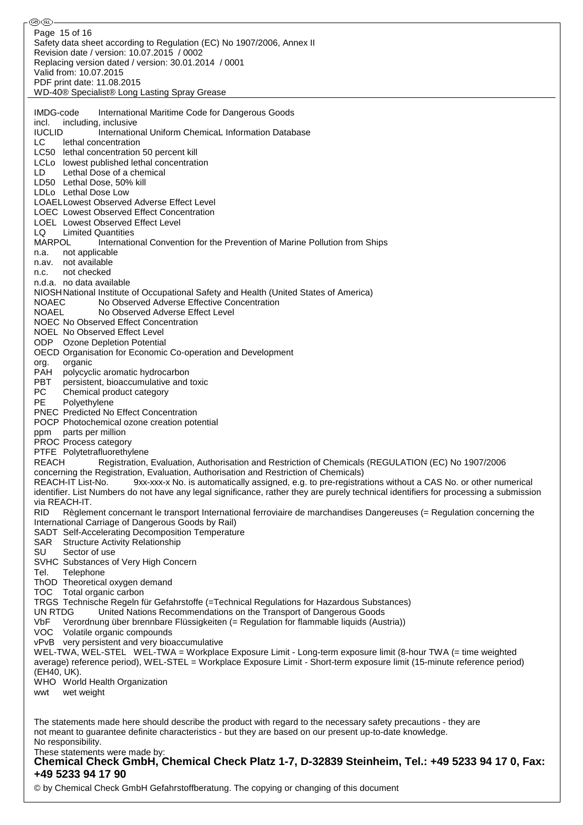ை® Page 15 of 16Safety data sheet according to Regulation (EC) No 1907/2006, Annex II Revision date / version: 10.07.2015 / 0002 Replacing version dated / version: 30.01.2014 / 0001 Valid from: 10.07.2015 PDF print date: 11.08.2015 WD-40® Specialist® Long Lasting Spray Grease IMDG-code International Maritime Code for Dangerous Goods incl. including, inclusive IUCLID International Uniform ChemicaL Information Database LC lethal concentration LC50 lethal concentration 50 percent kill LCLo lowest published lethal concentration LD Lethal Dose of a chemical LD50 Lethal Dose, 50% kill LDLo Lethal Dose Low LOAELLowest Observed Adverse Effect Level LOEC Lowest Observed Effect Concentration LOEL Lowest Observed Effect Level LQ Limited Quantities MARPOL International Convention for the Prevention of Marine Pollution from Ships n.a. not applicable n.av. not available n.c. not checked n.d.a. no data available NIOSHNational Institute of Occupational Safety and Health (United States of America) NOAEC No Observed Adverse Effective Concentration NOAEL No Observed Adverse Effect Level NOEC No Observed Effect Concentration NOEL No Observed Effect Level ODP Ozone Depletion Potential OECD Organisation for Economic Co-operation and Development org. organic PAH polycyclic aromatic hydrocarbon PBT persistent, bioaccumulative and toxic PC Chemical product category<br>PE Polvethylene Polyethylene PNEC Predicted No Effect Concentration POCP Photochemical ozone creation potential ppm parts per million PROC Process category PTFE Polytetrafluorethylene REACH Registration, Evaluation, Authorisation and Restriction of Chemicals (REGULATION (EC) No 1907/2006 concerning the Registration, Evaluation, Authorisation and Restriction of Chemicals) REACH-IT List-No. 9xx-xxx-x No. is automatically assigned, e.g. to pre-registrations without a CAS No. or other numerical identifier. List Numbers do not have any legal significance, rather they are purely technical identifiers for processing a submission via REACH-IT. RID Règlement concernant le transport International ferroviaire de marchandises Dangereuses (= Regulation concerning the International Carriage of Dangerous Goods by Rail) SADT Self-Accelerating Decomposition Temperature SAR Structure Activity Relationship SU Sector of use SVHC Substances of Very High Concern Tel. Telephone ThOD Theoretical oxygen demand TOC Total organic carbon TRGS Technische Regeln für Gefahrstoffe (=Technical Regulations for Hazardous Substances) UN RTDG United Nations Recommendations on the Transport of Dangerous Goods VbF Verordnung über brennbare Flüssigkeiten (= Regulation for flammable liquids (Austria)) VOC Volatile organic compounds vPvB very persistent and very bioaccumulative WEL-TWA, WEL-STEL WEL-TWA = Workplace Exposure Limit - Long-term exposure limit (8-hour TWA (= time weighted average) reference period), WEL-STEL = Workplace Exposure Limit - Short-term exposure limit (15-minute reference period) (EH40, UK). WHO World Health Organization wwt wet weight The statements made here should describe the product with regard to the necessary safety precautions - they are not meant to guarantee definite characteristics - but they are based on our present up-to-date knowledge.

No responsibility. These statements were made by:

**Chemical Check GmbH, Chemical Check Platz 1-7, D-32839 Steinheim, Tel.: +49 5233 94 17 0, Fax: +49 5233 94 17 90**

© by Chemical Check GmbH Gefahrstoffberatung. The copying or changing of this document